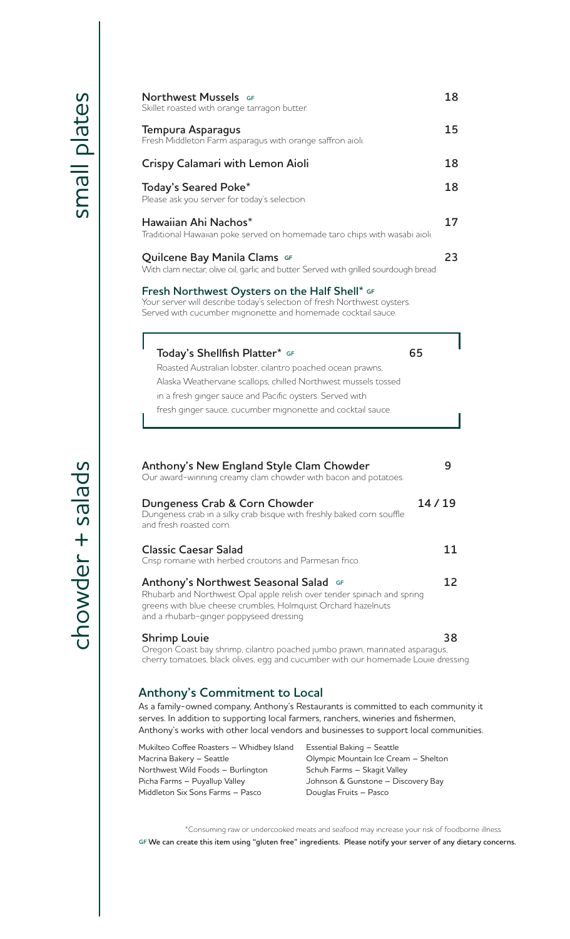chowder

chowder + salads

| Skillet roasted with orange tarragon butter.                                                                                                                                                                                        | 18 |
|-------------------------------------------------------------------------------------------------------------------------------------------------------------------------------------------------------------------------------------|----|
| Tempura Asparagus<br>Fresh Middleton Farm asparagus with orange saffron aioli.                                                                                                                                                      | 15 |
| Crispy Calamari with Lemon Aioli                                                                                                                                                                                                    | 18 |
| Today's Seared Poke*<br>Please ask you server for today's selection.                                                                                                                                                                | 18 |
| Hawaiian Ahi Nachos*<br>Traditional Hawaiian poke served on homemade taro chips with wasabi aioli.                                                                                                                                  | 17 |
| Quilcene Bay Manila Clams GF<br>With clam nectar, olive oil, garlic and butter. Served with grilled sourdough bread.                                                                                                                | 23 |
| Fresh Northwest Oysters on the Half Shell* GF<br>Your server will describe today's selection of fresh Northwest oysters.<br>Served with cucumber mignonette and homemade cocktail sauce.                                            |    |
| Today's Shellfish Platter* GF<br>65                                                                                                                                                                                                 |    |
| Roasted Australian lobster, cilantro poached ocean prawns,                                                                                                                                                                          |    |
| Alaska Weathervane scallops, chilled Northwest mussels tossed                                                                                                                                                                       |    |
| in a fresh ginger sauce and Pacific oysters. Served with                                                                                                                                                                            |    |
| fresh ginger sauce, cucumber mignonette and cocktail sauce.                                                                                                                                                                         |    |
| <b>Anthony's New England Style Clam Chowder</b><br>Our award-winning creamy clam chowder with bacon and potatoes.                                                                                                                   | 9  |
|                                                                                                                                                                                                                                     |    |
| Dungeness Crab & Corn Chowder<br>14/19<br>Dungeness crab in a silky crab bisque with freshly baked corn souffle<br>and fresh roasted corn.                                                                                          |    |
| <b>Classic Caesar Salad</b><br>Crisp romaine with herbed croutons and Parmesan frico.                                                                                                                                               | 11 |
| <b>Anthony's Northwest Seasonal Salad GF</b><br>Rhubarb and Northwest Opal apple relish over tender spinach and spring<br>greens with blue cheese crumbles, Holmquist Orchard hazelnuts<br>and a rhubarb-ginger poppyseed dressing. | 12 |
| <b>Shrimp Louie</b>                                                                                                                                                                                                                 | 38 |

## **Anthony's Commitment to Local**

As a family-owned company, Anthony's Restaurants is committed to each community it serves. In addition to supporting local farmers, ranchers, wineries and fishermen, Anthony's works with other local vendors and businesses to support local communities.

| Mukilteo Coffee Roasters - Whidbey Island | Essential Baking - Seattle           |
|-------------------------------------------|--------------------------------------|
| Macrina Bakery - Seattle                  | Olympic Mountain Ice Cream - Shelton |
| Northwest Wild Foods - Burlington         | Schuh Farms - Skagit Valley          |
| Picha Farms - Puyallup Valley             | Johnson & Gunstone - Discovery Bay   |
| Middleton Six Sons Farms - Pasco          | Douglas Fruits - Pasco               |
|                                           |                                      |

\*Consuming raw or undercooked meats and seafood may increase your risk of foodborne illness. **GF We can create this item using "gluten free" ingredients. Please notify your server of any dietary concerns.**